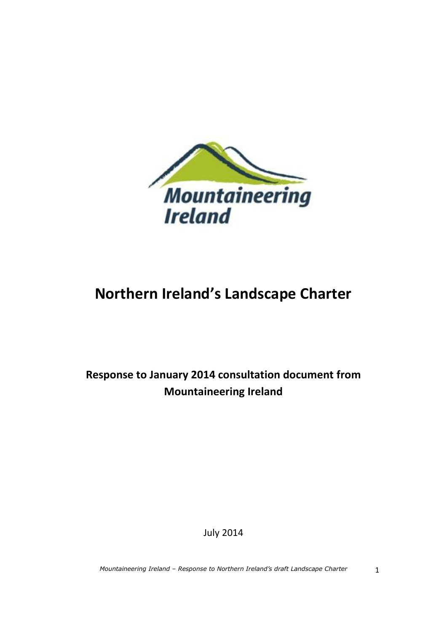

# **Northern Ireland's Landscape Charter**

**Response to January 2014 consultation document from Mountaineering Ireland**

July 2014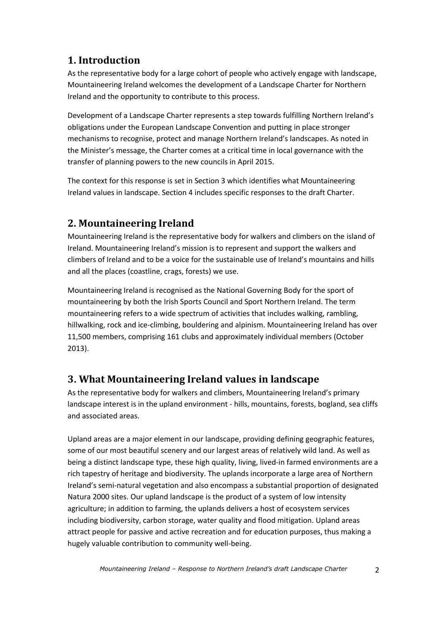# **1. Introduction**

As the representative body for a large cohort of people who actively engage with landscape, Mountaineering Ireland welcomes the development of a Landscape Charter for Northern Ireland and the opportunity to contribute to this process.

Development of a Landscape Charter represents a step towards fulfilling Northern Ireland's obligations under the European Landscape Convention and putting in place stronger mechanisms to recognise, protect and manage Northern Ireland's landscapes. As noted in the Minister's message, the Charter comes at a critical time in local governance with the transfer of planning powers to the new councils in April 2015.

The context for this response is set in Section 3 which identifies what Mountaineering Ireland values in landscape. Section 4 includes specific responses to the draft Charter.

# **2. Mountaineering Ireland**

Mountaineering Ireland is the representative body for walkers and climbers on the island of Ireland. Mountaineering Ireland's mission is to represent and support the walkers and climbers of Ireland and to be a voice for the sustainable use of Ireland's mountains and hills and all the places (coastline, crags, forests) we use.

Mountaineering Ireland is recognised as the National Governing Body for the sport of mountaineering by both the Irish Sports Council and Sport Northern Ireland. The term mountaineering refers to a wide spectrum of activities that includes walking, rambling, hillwalking, rock and ice-climbing, bouldering and alpinism. Mountaineering Ireland has over 11,500 members, comprising 161 clubs and approximately individual members (October 2013).

# **3. What Mountaineering Ireland values in landscape**

As the representative body for walkers and climbers, Mountaineering Ireland's primary landscape interest is in the upland environment - hills, mountains, forests, bogland, sea cliffs and associated areas.

Upland areas are a major element in our landscape, providing defining geographic features, some of our most beautiful scenery and our largest areas of relatively wild land. As well as being a distinct landscape type, these high quality, living, lived-in farmed environments are a rich tapestry of heritage and biodiversity. The uplands incorporate a large area of Northern Ireland's semi-natural vegetation and also encompass a substantial proportion of designated Natura 2000 sites. Our upland landscape is the product of a system of low intensity agriculture; in addition to farming, the uplands delivers a host of ecosystem services including biodiversity, carbon storage, water quality and flood mitigation. Upland areas attract people for passive and active recreation and for education purposes, thus making a hugely valuable contribution to community well-being.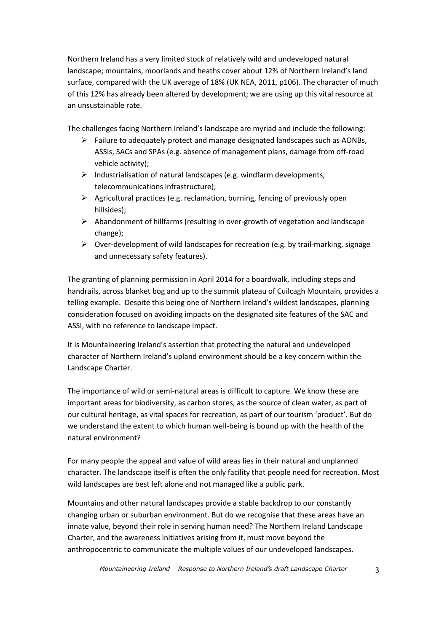Northern Ireland has a very limited stock of relatively wild and undeveloped natural landscape; mountains, moorlands and heaths cover about 12% of Northern Ireland's land surface, compared with the UK average of 18% (UK NEA, 2011, p106). The character of much of this 12% has already been altered by development; we are using up this vital resource at an unsustainable rate.

The challenges facing Northern Ireland's landscape are myriad and include the following:

- $\triangleright$  Failure to adequately protect and manage designated landscapes such as AONBs, ASSIs, SACs and SPAs (e.g. absence of management plans, damage from off-road vehicle activity);
- $\triangleright$  Industrialisation of natural landscapes (e.g. windfarm developments, telecommunications infrastructure);
- $\triangleright$  Agricultural practices (e.g. reclamation, burning, fencing of previously open hillsides);
- $\triangleright$  Abandonment of hillfarms (resulting in over-growth of vegetation and landscape change);
- Over-development of wild landscapes for recreation (e.g. by trail-marking, signage and unnecessary safety features).

The granting of planning permission in April 2014 for a boardwalk, including steps and handrails, across blanket bog and up to the summit plateau of Cuilcagh Mountain, provides a telling example. Despite this being one of Northern Ireland's wildest landscapes, planning consideration focused on avoiding impacts on the designated site features of the SAC and ASSI, with no reference to landscape impact.

It is Mountaineering Ireland's assertion that protecting the natural and undeveloped character of Northern Ireland's upland environment should be a key concern within the Landscape Charter.

The importance of wild or semi-natural areas is difficult to capture. We know these are important areas for biodiversity, as carbon stores, as the source of clean water, as part of our cultural heritage, as vital spaces for recreation, as part of our tourism 'product'. But do we understand the extent to which human well-being is bound up with the health of the natural environment?

For many people the appeal and value of wild areas lies in their natural and unplanned character. The landscape itself is often the only facility that people need for recreation. Most wild landscapes are best left alone and not managed like a public park.

Mountains and other natural landscapes provide a stable backdrop to our constantly changing urban or suburban environment. But do we recognise that these areas have an innate value, beyond their role in serving human need? The Northern Ireland Landscape Charter, and the awareness initiatives arising from it, must move beyond the anthropocentric to communicate the multiple values of our undeveloped landscapes.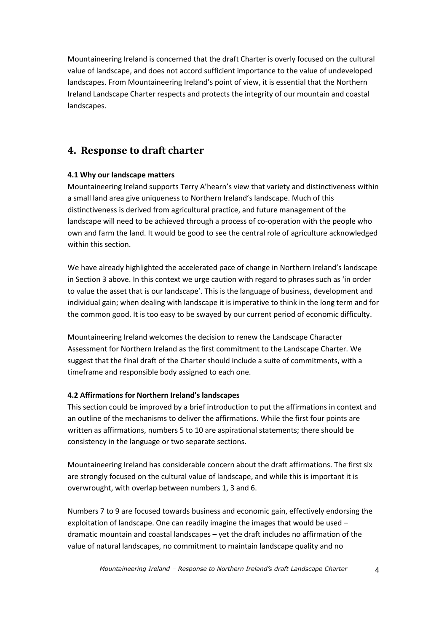Mountaineering Ireland is concerned that the draft Charter is overly focused on the cultural value of landscape, and does not accord sufficient importance to the value of undeveloped landscapes. From Mountaineering Ireland's point of view, it is essential that the Northern Ireland Landscape Charter respects and protects the integrity of our mountain and coastal landscapes.

### **4. Response to draft charter**

#### **4.1 Why our landscape matters**

Mountaineering Ireland supports Terry A'hearn's view that variety and distinctiveness within a small land area give uniqueness to Northern Ireland's landscape. Much of this distinctiveness is derived from agricultural practice, and future management of the landscape will need to be achieved through a process of co-operation with the people who own and farm the land. It would be good to see the central role of agriculture acknowledged within this section.

We have already highlighted the accelerated pace of change in Northern Ireland's landscape in Section 3 above. In this context we urge caution with regard to phrases such as 'in order to value the asset that is our landscape'. This is the language of business, development and individual gain; when dealing with landscape it is imperative to think in the long term and for the common good. It is too easy to be swayed by our current period of economic difficulty.

Mountaineering Ireland welcomes the decision to renew the Landscape Character Assessment for Northern Ireland as the first commitment to the Landscape Charter. We suggest that the final draft of the Charter should include a suite of commitments, with a timeframe and responsible body assigned to each one.

#### **4.2 Affirmations for Northern Ireland's landscapes**

This section could be improved by a brief introduction to put the affirmations in context and an outline of the mechanisms to deliver the affirmations. While the first four points are written as affirmations, numbers 5 to 10 are aspirational statements; there should be consistency in the language or two separate sections.

Mountaineering Ireland has considerable concern about the draft affirmations. The first six are strongly focused on the cultural value of landscape, and while this is important it is overwrought, with overlap between numbers 1, 3 and 6.

Numbers 7 to 9 are focused towards business and economic gain, effectively endorsing the exploitation of landscape. One can readily imagine the images that would be used – dramatic mountain and coastal landscapes – yet the draft includes no affirmation of the value of natural landscapes, no commitment to maintain landscape quality and no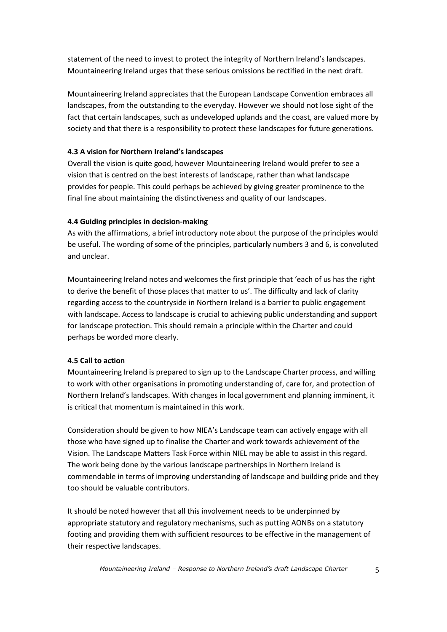statement of the need to invest to protect the integrity of Northern Ireland's landscapes. Mountaineering Ireland urges that these serious omissions be rectified in the next draft.

Mountaineering Ireland appreciates that the European Landscape Convention embraces all landscapes, from the outstanding to the everyday. However we should not lose sight of the fact that certain landscapes, such as undeveloped uplands and the coast, are valued more by society and that there is a responsibility to protect these landscapes for future generations.

#### **4.3 A vision for Northern Ireland's landscapes**

Overall the vision is quite good, however Mountaineering Ireland would prefer to see a vision that is centred on the best interests of landscape, rather than what landscape provides for people. This could perhaps be achieved by giving greater prominence to the final line about maintaining the distinctiveness and quality of our landscapes.

#### **4.4 Guiding principles in decision-making**

As with the affirmations, a brief introductory note about the purpose of the principles would be useful. The wording of some of the principles, particularly numbers 3 and 6, is convoluted and unclear.

Mountaineering Ireland notes and welcomes the first principle that 'each of us has the right to derive the benefit of those places that matter to us'. The difficulty and lack of clarity regarding access to the countryside in Northern Ireland is a barrier to public engagement with landscape. Access to landscape is crucial to achieving public understanding and support for landscape protection. This should remain a principle within the Charter and could perhaps be worded more clearly.

#### **4.5 Call to action**

Mountaineering Ireland is prepared to sign up to the Landscape Charter process, and willing to work with other organisations in promoting understanding of, care for, and protection of Northern Ireland's landscapes. With changes in local government and planning imminent, it is critical that momentum is maintained in this work.

Consideration should be given to how NIEA's Landscape team can actively engage with all those who have signed up to finalise the Charter and work towards achievement of the Vision. The Landscape Matters Task Force within NIEL may be able to assist in this regard. The work being done by the various landscape partnerships in Northern Ireland is commendable in terms of improving understanding of landscape and building pride and they too should be valuable contributors.

It should be noted however that all this involvement needs to be underpinned by appropriate statutory and regulatory mechanisms, such as putting AONBs on a statutory footing and providing them with sufficient resources to be effective in the management of their respective landscapes.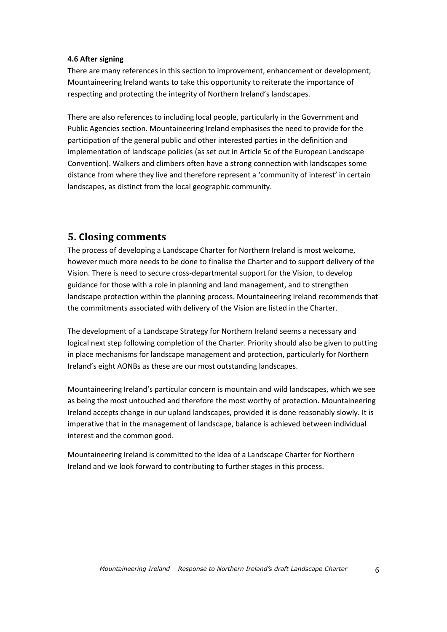#### **4.6 After signing**

There are many references in this section to improvement, enhancement or development; Mountaineering Ireland wants to take this opportunity to reiterate the importance of respecting and protecting the integrity of Northern Ireland's landscapes.

There are also references to including local people, particularly in the Government and Public Agencies section. Mountaineering Ireland emphasises the need to provide for the participation of the general public and other interested parties in the definition and implementation of landscape policies (as set out in Article 5c of the European Landscape Convention). Walkers and climbers often have a strong connection with landscapes some distance from where they live and therefore represent a 'community of interest' in certain landscapes, as distinct from the local geographic community.

## **5. Closing comments**

The process of developing a Landscape Charter for Northern Ireland is most welcome, however much more needs to be done to finalise the Charter and to support delivery of the Vision. There is need to secure cross-departmental support for the Vision, to develop guidance for those with a role in planning and land management, and to strengthen landscape protection within the planning process. Mountaineering Ireland recommends that the commitments associated with delivery of the Vision are listed in the Charter.

The development of a Landscape Strategy for Northern Ireland seems a necessary and logical next step following completion of the Charter. Priority should also be given to putting in place mechanisms for landscape management and protection, particularly for Northern Ireland's eight AONBs as these are our most outstanding landscapes.

Mountaineering Ireland's particular concern is mountain and wild landscapes, which we see as being the most untouched and therefore the most worthy of protection. Mountaineering Ireland accepts change in our upland landscapes, provided it is done reasonably slowly. It is imperative that in the management of landscape, balance is achieved between individual interest and the common good.

Mountaineering Ireland is committed to the idea of a Landscape Charter for Northern Ireland and we look forward to contributing to further stages in this process.